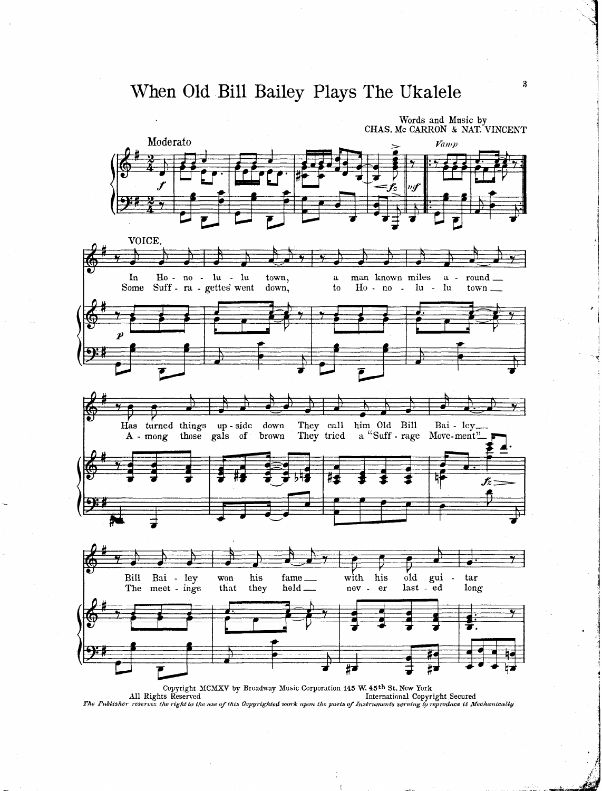## When Old Bill Bailey Plays The Ukalele



All Rights Reserved International Copyright Secured The Publisher reserves the right to the use of this Copyrighted work upon the parts of Instruments serving to reproduce it Mechanically

 $\bf{3}$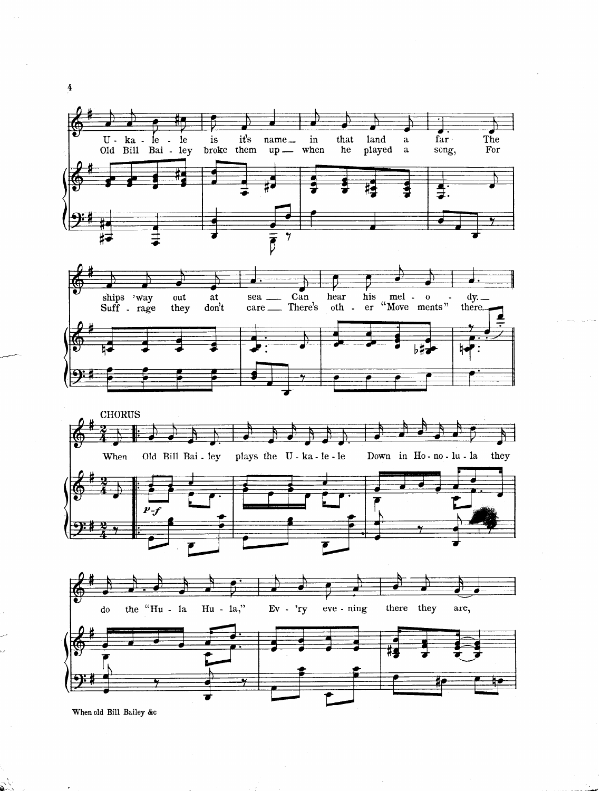







When old Bill Bailey &c

 $\mathcal{N}$ 

 $\frac{4}{1}$